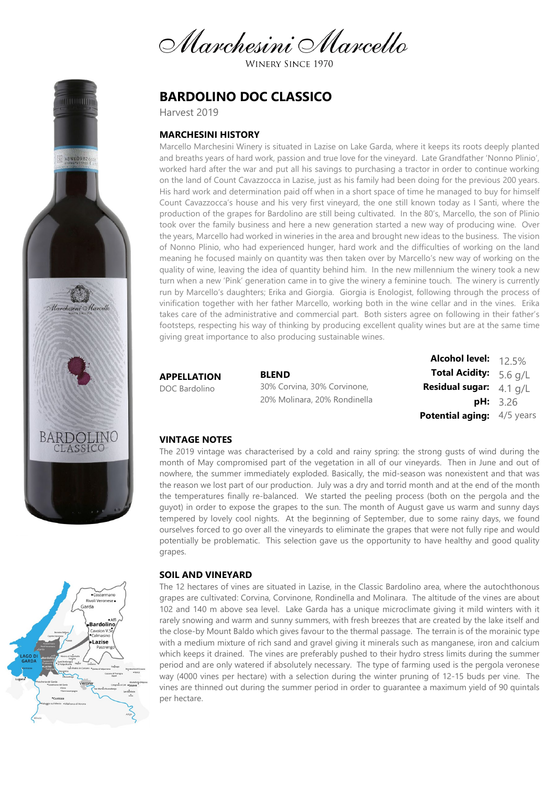Marchesini Marcello

**WINERY SINCE 1970** 

# **BARDOLINO DOC CLASSICO**

Harvest 2019

### **MARCHESINI HISTORY**

Marcello Marchesini Winery is situated in Lazise on Lake Garda, where it keeps its roots deeply planted and breaths years of hard work, passion and true love for the vineyard. Late Grandfather 'Nonno Plinio', worked hard after the war and put all his savings to purchasing a tractor in order to continue working on the land of Count Cavazzocca in Lazise, just as his family had been doing for the previous 200 years. His hard work and determination paid off when in a short space of time he managed to buy for himself Count Cavazzocca's house and his very first vineyard, the one still known today as I Santi, where the production of the grapes for Bardolino are still being cultivated. In the 80's, Marcello, the son of Plinio took over the family business and here a new generation started a new way of producing wine. Over the years, Marcello had worked in wineries in the area and brought new ideas to the business. The vision of Nonno Plinio, who had experienced hunger, hard work and the difficulties of working on the land meaning he focused mainly on quantity was then taken over by Marcello's new way of working on the quality of wine, leaving the idea of quantity behind him. In the new millennium the winery took a new turn when a new 'Pink' generation came in to give the winery a feminine touch. The winery is currently run by Marcello's daughters; Erika and Giorgia. Giorgia is Enologist, following through the process of vinification together with her father Marcello, working both in the wine cellar and in the vines. Erika takes care of the administrative and commercial part. Both sisters agree on following in their father's footsteps, respecting his way of thinking by producing excellent quality wines but are at the same time giving great importance to also producing sustainable wines.

**APPELLATION** DOC Bardolino

**BLEND** 30% Corvina, 30% Corvinone, 20% Molinara, 20% Rondinella

**Alcohol level: Total Acidity: Residual sugar:** 4.1 g/L **pH:** 3.26 **Potential aging:** 4/5 years 12.5% 5.6 g/L

## **VINTAGE NOTES**

The 2019 vintage was characterised by a cold and rainy spring: the strong gusts of wind during the month of May compromised part of the vegetation in all of our vineyards. Then in June and out of nowhere, the summer immediately exploded. Basically, the mid-season was nonexistent and that was the reason we lost part of our production. July was a dry and torrid month and at the end of the month the temperatures finally re-balanced. We started the peeling process (both on the pergola and the guyot) in order to expose the grapes to the sun. The month of August gave us warm and sunny days tempered by lovely cool nights. At the beginning of September, due to some rainy days, we found ourselves forced to go over all the vineyards to eliminate the grapes that were not fully ripe and would potentially be problematic. This selection gave us the opportunity to have healthy and good quality grapes.

#### **SOIL AND VINEYARD**

The 12 hectares of vines are situated in Lazise, in the Classic Bardolino area, where the autochthonous grapes are cultivated: Corvina, Corvinone, Rondinella and Molinara. The altitude of the vines are about 102 and 140 m above sea level. Lake Garda has a unique microclimate giving it mild winters with it rarely snowing and warm and sunny summers, with fresh breezes that are created by the lake itself and the close-by Mount Baldo which gives favour to the thermal passage. The terrain is of the morainic type with a medium mixture of rich sand and gravel giving it minerals such as manganese, iron and calcium which keeps it drained. The vines are preferably pushed to their hydro stress limits during the summer period and are only watered if absolutely necessary. The type of farming used is the pergola veronese way (4000 vines per hectare) with a selection during the winter pruning of 12-15 buds per vine. The vines are thinned out during the summer period in order to guarantee a maximum yield of 90 quintals per hectare.



ABNX098

Marchesini Marcello

BARDOLINC CLASSICC